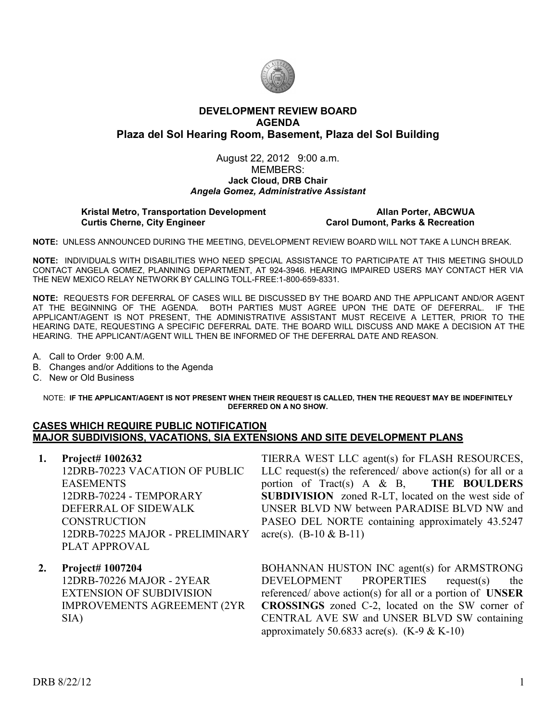

## **DEVELOPMENT REVIEW BOARD AGENDA Plaza del Sol Hearing Room, Basement, Plaza del Sol Building**

### August 22, 2012 9:00 a.m. MEMBERS: **Jack Cloud, DRB Chair**  *Angela Gomez, Administrative Assistant*

# **Kristal Metro, Transportation Development**<br>Carol Dumont, Parks & Recreation Curtis Cherne, City Engineer **Allan Portes**

# **Carol Dumont, Parks & Recreation**

**NOTE:** UNLESS ANNOUNCED DURING THE MEETING, DEVELOPMENT REVIEW BOARD WILL NOT TAKE A LUNCH BREAK.

**NOTE:** INDIVIDUALS WITH DISABILITIES WHO NEED SPECIAL ASSISTANCE TO PARTICIPATE AT THIS MEETING SHOULD CONTACT ANGELA GOMEZ, PLANNING DEPARTMENT, AT 924-3946. HEARING IMPAIRED USERS MAY CONTACT HER VIA THE NEW MEXICO RELAY NETWORK BY CALLING TOLL-FREE:1-800-659-8331.

**NOTE:** REQUESTS FOR DEFERRAL OF CASES WILL BE DISCUSSED BY THE BOARD AND THE APPLICANT AND/OR AGENT AT THE BEGINNING OF THE AGENDA. BOTH PARTIES MUST AGREE UPON THE DATE OF DEFERRAL. IF THE APPLICANT/AGENT IS NOT PRESENT, THE ADMINISTRATIVE ASSISTANT MUST RECEIVE A LETTER, PRIOR TO THE HEARING DATE, REQUESTING A SPECIFIC DEFERRAL DATE. THE BOARD WILL DISCUSS AND MAKE A DECISION AT THE HEARING. THE APPLICANT/AGENT WILL THEN BE INFORMED OF THE DEFERRAL DATE AND REASON.

A. Call to Order 9:00 A.M.

- B. Changes and/or Additions to the Agenda
- C. New or Old Business

#### NOTE: **IF THE APPLICANT/AGENT IS NOT PRESENT WHEN THEIR REQUEST IS CALLED, THEN THE REQUEST MAY BE INDEFINITELY DEFERRED ON A NO SHOW.**

## **CASES WHICH REQUIRE PUBLIC NOTIFICATION MAJOR SUBDIVISIONS, VACATIONS, SIA EXTENSIONS AND SITE DEVELOPMENT PLANS**

- **1. Project# 1002632** 12DRB-70223 VACATION OF PUBLIC EASEMENTS 12DRB-70224 - TEMPORARY DEFERRAL OF SIDEWALK **CONSTRUCTION** 12DRB-70225 MAJOR - PRELIMINARY PLAT APPROVAL
- **2. Project# 1007204**

12DRB-70226 MAJOR - 2YEAR EXTENSION OF SUBDIVISION IMPROVEMENTS AGREEMENT (2YR SIA)

TIERRA WEST LLC agent(s) for FLASH RESOURCES, LLC request(s) the referenced/ above action(s) for all or a portion of Tract(s) A & B, **THE BOULDERS SUBDIVISION** zoned R-LT, located on the west side of UNSER BLVD NW between PARADISE BLVD NW and PASEO DEL NORTE containing approximately 43.5247 acre(s).  $(B-10 \& B-11)$ 

BOHANNAN HUSTON INC agent(s) for ARMSTRONG DEVELOPMENT PROPERTIES request(s) the referenced/ above action(s) for all or a portion of **UNSER CROSSINGS** zoned C-2, located on the SW corner of CENTRAL AVE SW and UNSER BLVD SW containing approximately 50.6833 acre(s).  $(K-9 & K-10)$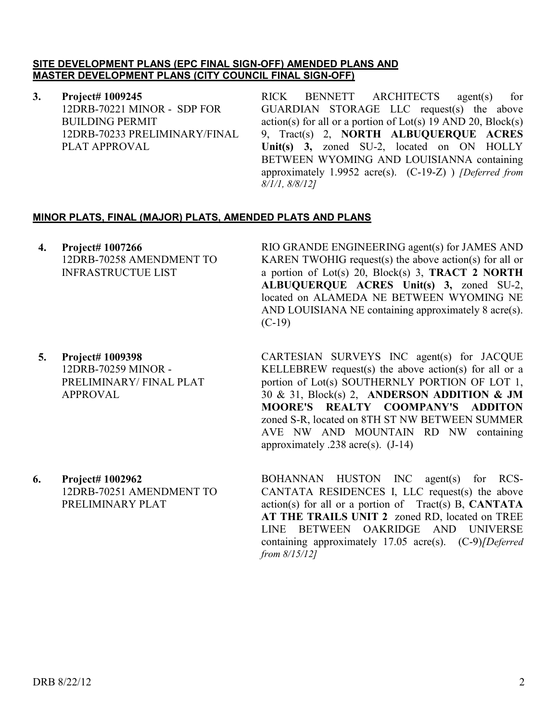## **SITE DEVELOPMENT PLANS (EPC FINAL SIGN-OFF) AMENDED PLANS AND MASTER DEVELOPMENT PLANS (CITY COUNCIL FINAL SIGN-OFF)**

**3. Project# 1009245** 12DRB-70221 MINOR - SDP FOR BUILDING PERMIT 12DRB-70233 PRELIMINARY/FINAL PLAT APPROVAL

RICK BENNETT ARCHITECTS agent(s) for GUARDIAN STORAGE LLC request(s) the above  $action(s)$  for all or a portion of  $Lot(s)$  19 AND 20,  $Block(s)$ 9, Tract(s) 2, **NORTH ALBUQUERQUE ACRES Unit(s) 3,** zoned SU-2, located on ON HOLLY BETWEEN WYOMING AND LOUISIANNA containing approximately 1.9952 acre(s). (C-19-Z) ) *[Deferred from 8/1/1, 8/8/12]*

# **MINOR PLATS, FINAL (MAJOR) PLATS, AMENDED PLATS AND PLANS**

**4. Project# 1007266** 12DRB-70258 AMENDMENT TO INFRASTRUCTUE LIST

**5. Project# 1009398** 12DRB-70259 MINOR - PRELIMINARY/ FINAL PLAT APPROVAL

RIO GRANDE ENGINEERING agent(s) for JAMES AND KAREN TWOHIG request(s) the above action(s) for all or a portion of Lot(s) 20, Block(s) 3, **TRACT 2 NORTH ALBUQUERQUE ACRES Unit(s) 3,** zoned SU-2, located on ALAMEDA NE BETWEEN WYOMING NE AND LOUISIANA NE containing approximately 8 acre(s). (C-19)

CARTESIAN SURVEYS INC agent(s) for JACQUE KELLEBREW request(s) the above action(s) for all or a portion of Lot(s) SOUTHERNLY PORTION OF LOT 1, 30 & 31, Block(s) 2, **ANDERSON ADDITION & JM MOORE'S REALTY COOMPANY'S ADDITON**  zoned S-R, located on 8TH ST NW BETWEEN SUMMER AVE NW AND MOUNTAIN RD NW containing approximately .238 acre(s). (J-14)

**6. Project# 1002962** 12DRB-70251 AMENDMENT TO PRELIMINARY PLAT

BOHANNAN HUSTON INC agent(s) for RCS-CANTATA RESIDENCES I, LLC request(s) the above action(s) for all or a portion of Tract(s) B, **CANTATA AT THE TRAILS UNIT 2** zoned RD, located on TREE LINE BETWEEN OAKRIDGE AND UNIVERSE containing approximately 17.05 acre(s). (C-9)*[Deferred from 8/15/12]*